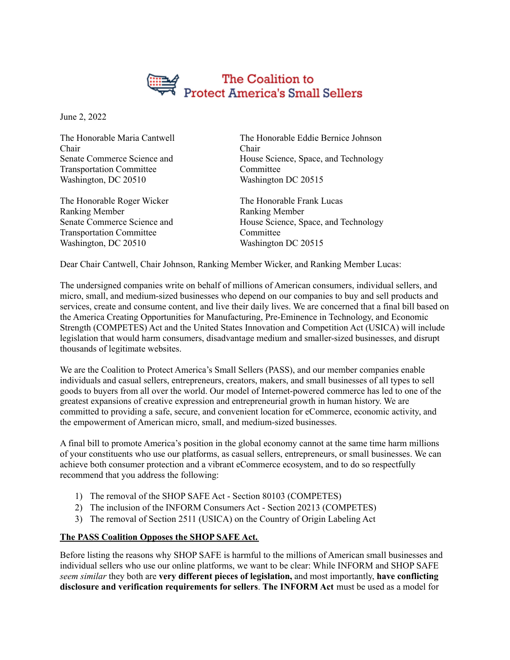

June 2, 2022

The Honorable Maria Cantwell Chair Senate Commerce Science and Transportation Committee Washington, DC 20510

The Honorable Roger Wicker Ranking Member Senate Commerce Science and Transportation Committee Washington, DC 20510

The Honorable Eddie Bernice Johnson Chair House Science, Space, and Technology Committee Washington DC 20515

The Honorable Frank Lucas Ranking Member House Science, Space, and Technology Committee Washington DC 20515

Dear Chair Cantwell, Chair Johnson, Ranking Member Wicker, and Ranking Member Lucas:

The undersigned companies write on behalf of millions of American consumers, individual sellers, and micro, small, and medium-sized businesses who depend on our companies to buy and sell products and services, create and consume content, and live their daily lives. We are concerned that a final bill based on the America Creating Opportunities for Manufacturing, Pre-Eminence in Technology, and Economic Strength (COMPETES) Act and the United States Innovation and Competition Act (USICA) will include legislation that would harm consumers, disadvantage medium and smaller-sized businesses, and disrupt thousands of legitimate websites.

We are the Coalition to Protect America's Small Sellers (PASS), and our member companies enable individuals and casual sellers, entrepreneurs, creators, makers, and small businesses of all types to sell goods to buyers from all over the world. Our model of Internet-powered commerce has led to one of the greatest expansions of creative expression and entrepreneurial growth in human history. We are committed to providing a safe, secure, and convenient location for eCommerce, economic activity, and the empowerment of American micro, small, and medium-sized businesses.

A final bill to promote America's position in the global economy cannot at the same time harm millions of your constituents who use our platforms, as casual sellers, entrepreneurs, or small businesses. We can achieve both consumer protection and a vibrant eCommerce ecosystem, and to do so respectfully recommend that you address the following:

- 1) The removal of the SHOP SAFE Act Section 80103 (COMPETES)
- 2) The inclusion of the INFORM Consumers Act Section 20213 (COMPETES)
- 3) The removal of Section 2511 (USICA) on the Country of Origin Labeling Act

## **The PASS Coalition Opposes the SHOP SAFE Act.**

Before listing the reasons why SHOP SAFE is harmful to the millions of American small businesses and individual sellers who use our online platforms, we want to be clear: While INFORM and SHOP SAFE *seem similar* they both are **very different pieces of legislation,** and most importantly, **have conflicting disclosure and verification requirements for sellers**. **The INFORM Act** must be used as a model for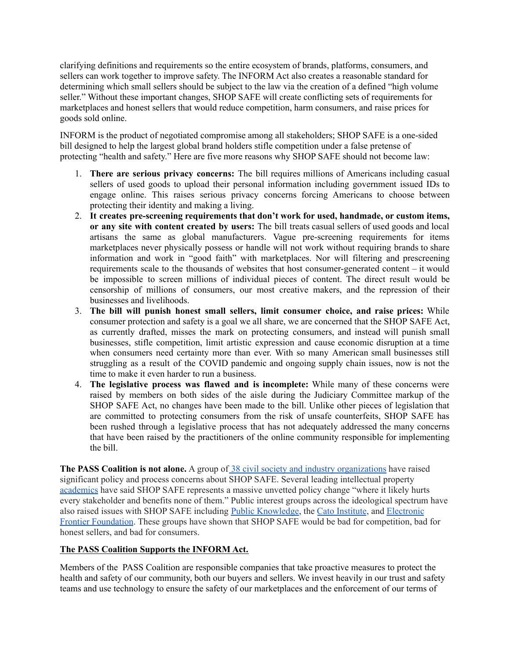clarifying definitions and requirements so the entire ecosystem of brands, platforms, consumers, and sellers can work together to improve safety. The INFORM Act also creates a reasonable standard for determining which small sellers should be subject to the law via the creation of a defined "high volume seller." Without these important changes, SHOP SAFE will create conflicting sets of requirements for marketplaces and honest sellers that would reduce competition, harm consumers, and raise prices for goods sold online.

INFORM is the product of negotiated compromise among all stakeholders; SHOP SAFE is a one-sided bill designed to help the largest global brand holders stifle competition under a false pretense of protecting "health and safety." Here are five more reasons why SHOP SAFE should not become law:

- 1. **There are serious privacy concerns:** The bill requires millions of Americans including casual sellers of used goods to upload their personal information including government issued IDs to engage online. This raises serious privacy concerns forcing Americans to choose between protecting their identity and making a living.
- 2. **It creates pre-screening requirements that don't work for used, handmade, or custom items, or any site with content created by users:** The bill treats casual sellers of used goods and local artisans the same as global manufacturers. Vague pre-screening requirements for items marketplaces never physically possess or handle will not work without requiring brands to share information and work in "good faith" with marketplaces. Nor will filtering and prescreening requirements scale to the thousands of websites that host consumer-generated content – it would be impossible to screen millions of individual pieces of content. The direct result would be censorship of millions of consumers, our most creative makers, and the repression of their businesses and livelihoods.
- 3. **The bill will punish honest small sellers, limit consumer choice, and raise prices:** While consumer protection and safety is a goal we all share, we are concerned that the SHOP SAFE Act, as currently drafted, misses the mark on protecting consumers, and instead will punish small businesses, stifle competition, limit artistic expression and cause economic disruption at a time when consumers need certainty more than ever. With so many American small businesses still struggling as a result of the COVID pandemic and ongoing supply chain issues, now is not the time to make it even harder to run a business.
- 4. **The legislative process was flawed and is incomplete:** While many of these concerns were raised by members on both sides of the aisle during the Judiciary Committee markup of the SHOP SAFE Act, no changes have been made to the bill. Unlike other pieces of legislation that are committed to protecting consumers from the risk of unsafe counterfeits, SHOP SAFE has been rushed through a legislative process that has not adequately addressed the many concerns that have been raised by the practitioners of the online community responsible for implementing the bill.

The PASS Coalition is not alone. A group of [38 civil society and industry organizations](https://www.ccianet.org/wp-content/uploads/2022/05/2022-05-03-SHOP-SAFE-Joint-Letter-to-Conferees.pdf) have raised significant policy and process concerns about SHOP SAFE. Several leading intellectual property [academics](https://digitalcommons.law.scu.edu/cgi/viewcontent.cgi?article=3634&context=historical) have said SHOP SAFE represents a massive unvetted policy change "where it likely hurts every stakeholder and benefits none of them." Public interest groups across the ideological spectrum have also raised issues with SHOP SAFE including [Public Knowledge](https://publicknowledge.org/shop-safe-act-the-trademark-timebomb-masquerading-as-consumer-protection/), the [Cato Institute](https://www.cato.org/blog/shop-safe-spoils-america-competes), and [Electronic](https://www.eff.org/deeplinks/2021/09/shop-safe-another-attempt-fix-big-tech-will-mostly-harm-small-players-and) [Frontier Foundation](https://www.eff.org/deeplinks/2021/09/shop-safe-another-attempt-fix-big-tech-will-mostly-harm-small-players-and). These groups have shown that SHOP SAFE would be bad for competition, bad for honest sellers, and bad for consumers.

## **The PASS Coalition Supports the INFORM Act.**

Members of the PASS Coalition are responsible companies that take proactive measures to protect the health and safety of our community, both our buyers and sellers. We invest heavily in our trust and safety teams and use technology to ensure the safety of our marketplaces and the enforcement of our terms of